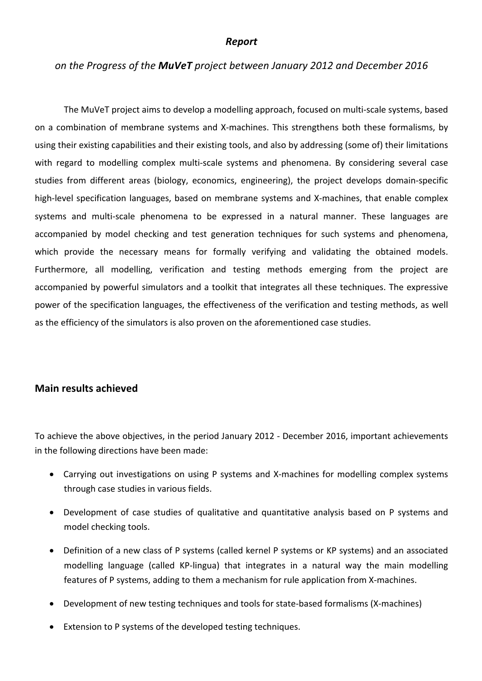#### *Report*

#### *on the Progress of the MuVeT project between January 2012 and December 2016*

The MuVeT project aims to develop a modelling approach, focused on multi-scale systems, based on a combination of membrane systems and X-machines. This strengthens both these formalisms, by using their existing capabilities and their existing tools, and also by addressing (some of) their limitations with regard to modelling complex multi-scale systems and phenomena. By considering several case studies from different areas (biology, economics, engineering), the project develops domain-specific high-level specification languages, based on membrane systems and X-machines, that enable complex systems and multi-scale phenomena to be expressed in a natural manner. These languages are accompanied by model checking and test generation techniques for such systems and phenomena, which provide the necessary means for formally verifying and validating the obtained models. Furthermore, all modelling, verification and testing methods emerging from the project are accompanied by powerful simulators and a toolkit that integrates all these techniques. The expressive power of the specification languages, the effectiveness of the verification and testing methods, as well as the efficiency of the simulators is also proven on the aforementioned case studies.

#### **Main results achieved**

To achieve the above objectives, in the period January 2012 - December 2016, important achievements in the following directions have been made:

- Carrying out investigations on using P systems and X-machines for modelling complex systems through case studies in various fields.
- Development of case studies of qualitative and quantitative analysis based on P systems and model checking tools.
- Definition of a new class of P systems (called kernel P systems or KP systems) and an associated modelling language (called KP-lingua) that integrates in a natural way the main modelling features of P systems, adding to them a mechanism for rule application from X-machines.
- Development of new testing techniques and tools for state-based formalisms (X-machines)
- Extension to P systems of the developed testing techniques.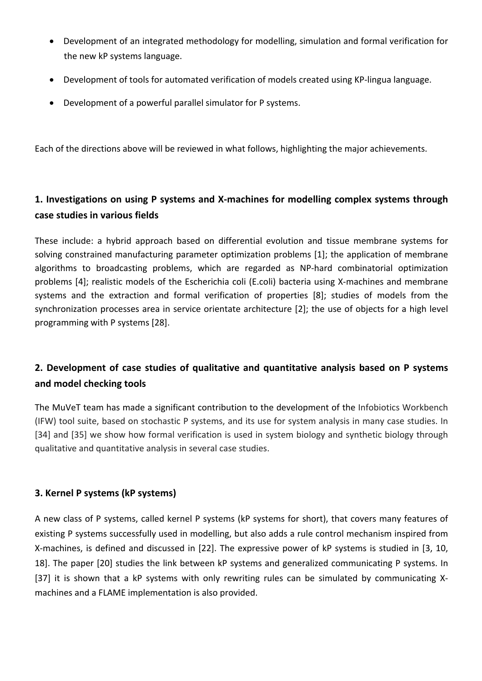- Development of an integrated methodology for modelling, simulation and formal verification for the new kP systems language.
- Development of tools for automated verification of models created using KP-lingua language.
- Development of a powerful parallel simulator for P systems.

Each of the directions above will be reviewed in what follows, highlighting the major achievements.

## 1. Investigations on using P systems and X-machines for modelling complex systems through **case studies in various fields**

These include: a hybrid approach based on differential evolution and tissue membrane systems for solving constrained manufacturing parameter optimization problems [1]; the application of membrane algorithms to broadcasting problems, which are regarded as NP-hard combinatorial optimization problems [4]; realistic models of the Escherichia coli (E.coli) bacteria using X-machines and membrane systems and the extraction and formal verification of properties [8]; studies of models from the synchronization processes area in service orientate architecture [2]; the use of objects for a high level programming with P systems [28].

### **2.** Development of case studies of qualitative and quantitative analysis based on P systems **and model checking tools**

The MuVeT team has made a significant contribution to the development of the Infobiotics Workbench (IFW) tool suite, based on stochastic P systems, and its use for system analysis in many case studies. In [34] and [35] we show how formal verification is used in system biology and synthetic biology through qualitative and quantitative analysis in several case studies.

### **3. Kernel P systems (kP systems)**

A new class of P systems, called kernel P systems (kP systems for short), that covers many features of existing P systems successfully used in modelling, but also adds a rule control mechanism inspired from X-machines, is defined and discussed in [22]. The expressive power of kP systems is studied in [3, 10, 18]. The paper [20] studies the link between kP systems and generalized communicating P systems. In [37] it is shown that a kP systems with only rewriting rules can be simulated by communicating Xmachines and a FLAME implementation is also provided.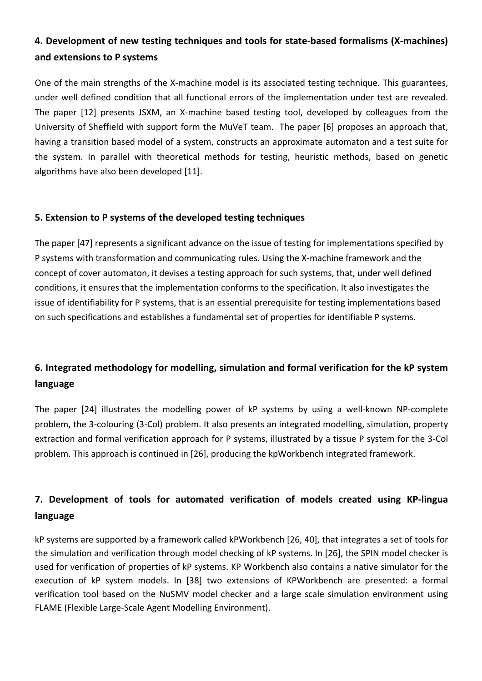# 4. Development of new testing techniques and tools for state-based formalisms (X-machines) **and extensions to P systems**

One of the main strengths of the X-machine model is its associated testing technique. This guarantees, under well defined condition that all functional errors of the implementation under test are revealed. The paper [12] presents JSXM, an X-machine based testing tool, developed by colleagues from the University of Sheffield with support form the MuVeT team. The paper [6] proposes an approach that, having a transition based model of a system, constructs an approximate automaton and a test suite for the system. In parallel with theoretical methods for testing, heuristic methods, based on genetic algorithms have also been developed [11].

### **5. Extension to P systems of the developed testing techniques**

The paper [47] represents a significant advance on the issue of testing for implementations specified by P systems with transformation and communicating rules. Using the X-machine framework and the concept of cover automaton, it devises a testing approach for such systems, that, under well defined conditions, it ensures that the implementation conforms to the specification. It also investigates the issue of identifiability for P systems, that is an essential prerequisite for testing implementations based on such specifications and establishes a fundamental set of properties for identifiable P systems.

# **6.** Integrated methodology for modelling, simulation and formal verification for the kP system **language**

The paper [24] illustrates the modelling power of kP systems by using a well-known NP-complete problem, the 3-colouring (3-Col) problem. It also presents an integrated modelling, simulation, property extraction and formal verification approach for P systems, illustrated by a tissue P system for the 3-Col problem. This approach is continued in [26], producing the kpWorkbench integrated framework.

# **7.** Development of tools for automated verification of models created using KP-lingua **language**

kP systems are supported by a framework called kPWorkbench [26, 40], that integrates a set of tools for the simulation and verification through model checking of kP systems. In [26], the SPIN model checker is used for verification of properties of kP systems. KP Workbench also contains a native simulator for the execution of kP system models. In [38] two extensions of KPWorkbench are presented: a formal verification tool based on the NuSMV model checker and a large scale simulation environment using FLAME (Flexible Large-Scale Agent Modelling Environment).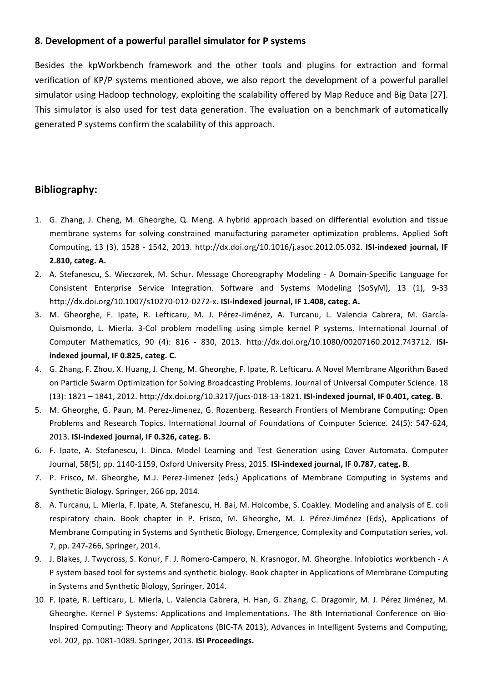#### **8. Development of a powerful parallel simulator for P systems**

Besides the kpWorkbench framework and the other tools and plugins for extraction and formal verification of KP/P systems mentioned above, we also report the development of a powerful parallel simulator using Hadoop technology, exploiting the scalability offered by Map Reduce and Big Data [27]. This simulator is also used for test data generation. The evaluation on a benchmark of automatically generated P systems confirm the scalability of this approach.

#### **Bibliography:**

- 1. G. Zhang, J. Cheng, M. Gheorghe, Q. Meng. A hybrid approach based on differential evolution and tissue membrane systems for solving constrained manufacturing parameter optimization problems. Applied Soft Computing, 13 (3), 1528 - 1542, 2013. http://dx.doi.org/10.1016/j.asoc.2012.05.032. **ISI-indexed journal, IF** 2.810, categ. A.
- 2. A. Stefanescu, S. Wieczorek, M. Schur. Message Choreography Modeling A Domain-Specific Language for Consistent Enterprise Service Integration. Software and Systems Modeling (SoSyM), 13 (1), 9-33 http://dx.doi.org/10.1007/s10270-012-0272-x**. ISI-indexed journal, IF 1.408, categ. A.**
- 3. M. Gheorghe, F. Ipate, R. Lefticaru, M. J. Pérez-Jiménez, A. Turcanu, L. Valencia Cabrera, M. García-Quismondo, L. Mierla. 3-Col problem modelling using simple kernel P systems. International Journal of Computer Mathematics, 90 (4): 816 - 830, 2013. http://dx.doi.org/10.1080/00207160.2012.743712. **ISIindexed journal, IF 0.825, categ. C.**
- 4. G. Zhang, F. Zhou, X. Huang, J. Cheng, M. Gheorghe, F. Ipate, R. Lefticaru. A Novel Membrane Algorithm Based on Particle Swarm Optimization for Solving Broadcasting Problems. Journal of Universal Computer Science. 18 (13): 1821 - 1841, 2012. http://dx.doi.org/10.3217/jucs-018-13-1821. **ISI-indexed journal, IF 0.401, categ. B.**
- 5. M. Gheorghe, G. Paun, M. Perez-Jimenez, G. Rozenberg. Research Frontiers of Membrane Computing: Open Problems and Research Topics. International Journal of Foundations of Computer Science. 24(5): 547-624, 2013. **ISI-indexed journal, IF 0.326, categ. B.**
- 6. F. Ipate, A. Stefanescu, I. Dinca. Model Learning and Test Generation using Cover Automata. Computer Journal, 58(5), pp. 1140-1159, Oxford University Press, 2015. **ISI-indexed journal, IF 0.787, categ. B**.
- 7. P. Frisco, M. Gheorghe, M.J. Perez-Jimenez (eds.) Applications of Membrane Computing in Systems and Synthetic Biology. Springer, 266 pp, 2014.
- 8. A. Turcanu, L. Mierla, F. Ipate, A. Stefanescu, H. Bai, M. Holcombe, S. Coakley. Modeling and analysis of E. coli respiratory chain. Book chapter in P. Frisco, M. Gheorghe, M. J. Pérez-Jiménez (Eds), Applications of Membrane Computing in Systems and Synthetic Biology, Emergence, Complexity and Computation series, vol. 7, pp. 247-266, Springer, 2014.
- 9. J. Blakes, J. Twycross, S. Konur, F. J. Romero-Campero, N. Krasnogor, M. Gheorghe. Infobiotics workbench A P system based tool for systems and synthetic biology. Book chapter in Applications of Membrane Computing in Systems and Synthetic Biology, Springer, 2014.
- 10. F. Ipate, R. Lefticaru, L. Mierla, L. Valencia Cabrera, H. Han, G. Zhang, C. Dragomir, M. J. Pérez Jiménez, M. Gheorghe. Kernel P Systems: Applications and Implementations. The 8th International Conference on Bio-Inspired Computing: Theory and Applicatons (BIC-TA 2013), Advances in Intelligent Systems and Computing, vol. 202, pp. 1081-1089. Springer, 2013. **ISI Proceedings.**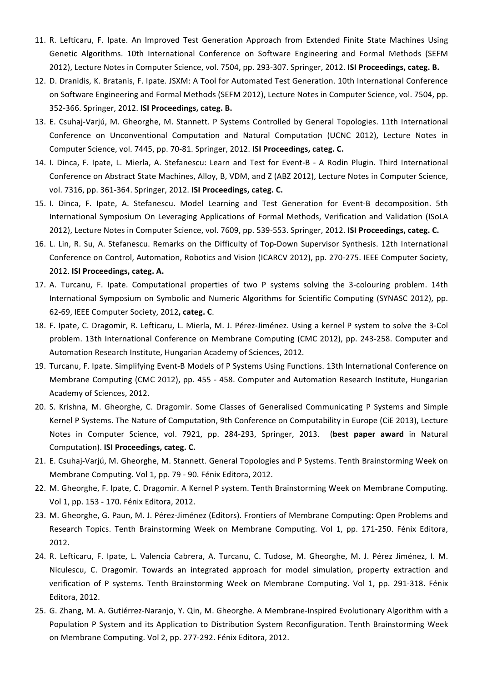- 11. R. Lefticaru, F. Ipate. An Improved Test Generation Approach from Extended Finite State Machines Using Genetic Algorithms. 10th International Conference on Software Engineering and Formal Methods (SEFM 2012), Lecture Notes in Computer Science, vol. 7504, pp. 293-307. Springer, 2012. **ISI Proceedings, categ. B.**
- 12. D. Dranidis, K. Bratanis, F. Ipate. JSXM: A Tool for Automated Test Generation. 10th International Conference on Software Engineering and Formal Methods (SEFM 2012), Lecture Notes in Computer Science, vol. 7504, pp. 352-366. Springer, 2012. **ISI Proceedings, categ. B.**
- 13. E. Csuhaj-Varjú, M. Gheorghe, M. Stannett. P Systems Controlled by General Topologies. 11th International Conference on Unconventional Computation and Natural Computation (UCNC 2012), Lecture Notes in Computer Science, vol. 7445, pp. 70-81. Springer, 2012. **ISI Proceedings, categ. C.**
- 14. I. Dinca, F. Ipate, L. Mierla, A. Stefanescu: Learn and Test for Event-B A Rodin Plugin. Third International Conference on Abstract State Machines, Alloy, B, VDM, and Z (ABZ 2012), Lecture Notes in Computer Science, vol. 7316, pp. 361-364. Springer, 2012. **ISI Proceedings, categ. C.**
- 15. I. Dinca, F. Ipate, A. Stefanescu. Model Learning and Test Generation for Event-B decomposition. 5th International Symposium On Leveraging Applications of Formal Methods, Verification and Validation (ISoLA 2012), Lecture Notes in Computer Science, vol. 7609, pp. 539-553. Springer, 2012. **ISI Proceedings, categ. C.**
- 16. L. Lin, R. Su, A. Stefanescu. Remarks on the Difficulty of Top-Down Supervisor Synthesis. 12th International Conference on Control, Automation, Robotics and Vision (ICARCV 2012), pp. 270-275. IEEE Computer Society, 2012. **ISI Proceedings, categ. A.**
- 17. A. Turcanu, F. Ipate. Computational properties of two P systems solving the 3-colouring problem. 14th International Symposium on Symbolic and Numeric Algorithms for Scientific Computing (SYNASC 2012), pp. 62-69, IEEE Computer Society, 2012, categ. C.
- 18. F. Ipate, C. Dragomir, R. Lefticaru, L. Mierla, M. J. Pérez-Jiménez. Using a kernel P system to solve the 3-Col problem. 13th International Conference on Membrane Computing (CMC 2012), pp. 243-258. Computer and Automation Research Institute, Hungarian Academy of Sciences, 2012.
- 19. Turcanu, F. Ipate. Simplifying Event-B Models of P Systems Using Functions. 13th International Conference on Membrane Computing (CMC 2012), pp. 455 - 458. Computer and Automation Research Institute, Hungarian Academy of Sciences, 2012.
- 20. S. Krishna, M. Gheorghe, C. Dragomir. Some Classes of Generalised Communicating P Systems and Simple Kernel P Systems. The Nature of Computation, 9th Conference on Computability in Europe (CiE 2013), Lecture Notes in Computer Science, vol. 7921, pp. 284-293, Springer, 2013. (best paper award in Natural Computation). **ISI Proceedings, categ. C.**
- 21. E. Csuhaj-Varjú, M. Gheorghe, M. Stannett. General Topologies and P Systems. Tenth Brainstorming Week on Membrane Computing. Vol 1, pp. 79 - 90. Fénix Editora, 2012.
- 22. M. Gheorghe, F. Ipate, C. Dragomir. A Kernel P system. Tenth Brainstorming Week on Membrane Computing. Vol 1, pp. 153 - 170. Fénix Editora, 2012.
- 23. M. Gheorghe, G. Paun, M. J. Pérez-Jiménez (Editors). Frontiers of Membrane Computing: Open Problems and Research Topics. Tenth Brainstorming Week on Membrane Computing. Vol 1, pp. 171-250. Fénix Editora, 2012.
- 24. R. Lefticaru, F. Ipate, L. Valencia Cabrera, A. Turcanu, C. Tudose, M. Gheorghe, M. J. Pérez Jiménez, I. M. Niculescu, C. Dragomir. Towards an integrated approach for model simulation, property extraction and verification of P systems. Tenth Brainstorming Week on Membrane Computing. Vol 1, pp. 291-318. Fénix Editora, 2012.
- 25. G. Zhang, M. A. Gutiérrez-Naranjo, Y. Qin, M. Gheorghe. A Membrane-Inspired Evolutionary Algorithm with a Population P System and its Application to Distribution System Reconfiguration. Tenth Brainstorming Week on Membrane Computing. Vol 2, pp. 277-292. Fénix Editora, 2012.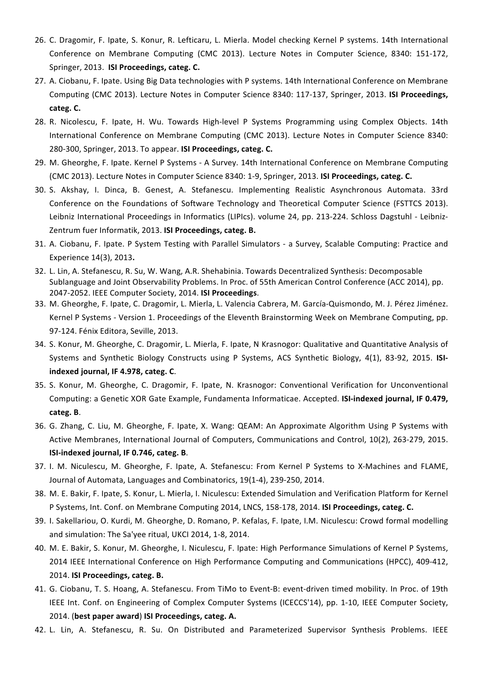- 26. C. Dragomir, F. Ipate, S. Konur, R. Lefticaru, L. Mierla. Model checking Kernel P systems. 14th International Conference on Membrane Computing (CMC 2013). Lecture Notes in Computer Science, 8340: 151-172, Springer, 2013. **ISI Proceedings, categ. C.**
- 27. A. Ciobanu, F. Ipate. Using Big Data technologies with P systems. 14th International Conference on Membrane Computing (CMC 2013). Lecture Notes in Computer Science 8340: 117-137, Springer, 2013. **ISI Proceedings, categ. C.**
- 28. R. Nicolescu, F. Ipate, H. Wu. Towards High-level P Systems Programming using Complex Objects. 14th International Conference on Membrane Computing (CMC 2013). Lecture Notes in Computer Science 8340: 280-300, Springer, 2013. To appear. **ISI Proceedings, categ. C.**
- 29. M. Gheorghe, F. Ipate. Kernel P Systems A Survey. 14th International Conference on Membrane Computing (CMC 2013). Lecture Notes in Computer Science 8340: 1-9, Springer, 2013. **ISI Proceedings, categ. C.**
- 30. S. Akshay, I. Dinca, B. Genest, A. Stefanescu. Implementing Realistic Asynchronous Automata. 33rd Conference on the Foundations of Software Technology and Theoretical Computer Science (FSTTCS 2013). Leibniz International Proceedings in Informatics (LIPIcs). volume 24, pp. 213-224. Schloss Dagstuhl - Leibniz-Zentrum fuer Informatik, 2013. **ISI Proceedings, categ. B.**
- 31. A. Ciobanu, F. Ipate. P System Testing with Parallel Simulators a Survey, Scalable Computing: Practice and Experience 14(3), 2013**.**
- 32. L. Lin, A. Stefanescu, R. Su, W. Wang, A.R. Shehabinia. Towards Decentralized Synthesis: Decomposable Sublanguage and Joint Observability Problems. In Proc. of 55th American Control Conference (ACC 2014), pp. 2047-2052. IEEE Computer Society, 2014. **ISI Proceedings**.
- 33. M. Gheorghe, F. Ipate, C. Dragomir, L. Mierla, L. Valencia Cabrera, M. García-Quismondo, M. J. Pérez Jiménez. Kernel P Systems - Version 1. Proceedings of the Eleventh Brainstorming Week on Membrane Computing, pp. 97-124. Fénix Editora, Seville, 2013.
- 34. S. Konur, M. Gheorghe, C. Dragomir, L. Mierla, F. Ipate, N Krasnogor: Qualitative and Quantitative Analysis of Systems and Synthetic Biology Constructs using P Systems, ACS Synthetic Biology, 4(1), 83-92, 2015. ISI**indexed journal, IF 4.978, categ. C**.
- 35. S. Konur, M. Gheorghe, C. Dragomir, F. Ipate, N. Krasnogor: Conventional Verification for Unconventional Computing: a Genetic XOR Gate Example, Fundamenta Informaticae. Accepted. **ISI-indexed journal, IF 0.479, categ. B**.
- 36. G. Zhang, C. Liu, M. Gheorghe, F. Ipate, X. Wang: QEAM: An Approximate Algorithm Using P Systems with Active Membranes, International Journal of Computers, Communications and Control, 10(2), 263-279, 2015. **ISI-indexed journal, IF 0.746, categ. B.**
- 37. I. M. Niculescu, M. Gheorghe, F. Ipate, A. Stefanescu: From Kernel P Systems to X-Machines and FLAME, Journal of Automata, Languages and Combinatorics, 19(1-4), 239-250, 2014.
- 38. M. E. Bakir, F. Ipate, S. Konur, L. Mierla, I. Niculescu: Extended Simulation and Verification Platform for Kernel P Systems, Int. Conf. on Membrane Computing 2014, LNCS, 158-178, 2014. **ISI Proceedings, categ. C.**
- 39. I. Sakellariou, O. Kurdi, M. Gheorghe, D. Romano, P. Kefalas, F. Ipate, I.M. Niculescu: Crowd formal modelling and simulation: The Sa'yee ritual, UKCI 2014, 1-8, 2014.
- 40. M. E. Bakir, S. Konur, M. Gheorghe, I. Niculescu, F. Ipate: High Performance Simulations of Kernel P Systems, 2014 IEEE International Conference on High Performance Computing and Communications (HPCC), 409-412, 2014. **ISI Proceedings, categ. B.**
- 41. G. Ciobanu, T. S. Hoang, A. Stefanescu. From TiMo to Event-B: event-driven timed mobility. In Proc. of 19th IEEE Int. Conf. on Engineering of Complex Computer Systems (ICECCS'14), pp. 1-10, IEEE Computer Society, 2014. (best paper award) ISI Proceedings, categ. A.
- 42. L. Lin, A. Stefanescu, R. Su. On Distributed and Parameterized Supervisor Synthesis Problems. IEEE